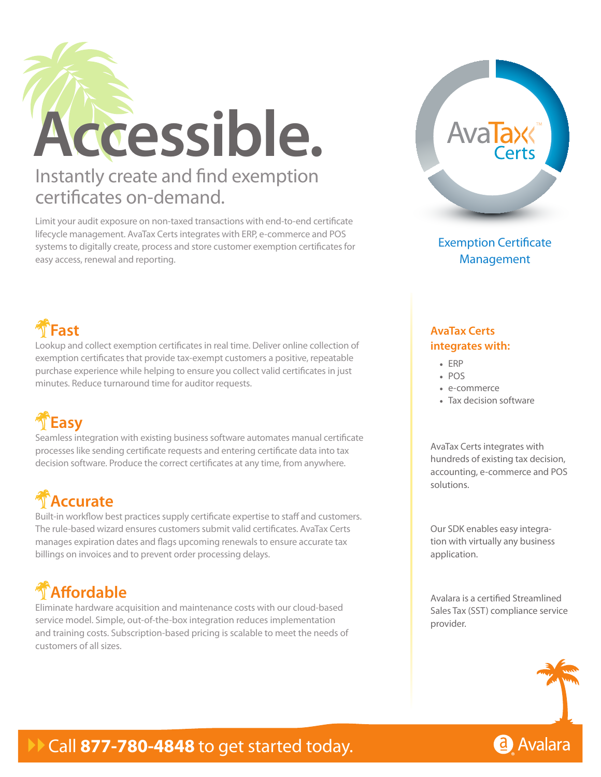

Limit your audit exposure on non-taxed transactions with end-to-end certificate lifecycle management. AvaTax Certs integrates with ERP, e-commerce and POS systems to digitally create, process and store customer exemption certificates for easy access, renewal and reporting.



Exemption Certificate Management

### **Fast**

Lookup and collect exemption certificates in real time. Deliver online collection of exemption certificates that provide tax-exempt customers a positive, repeatable purchase experience while helping to ensure you collect valid certificates in just minutes. Reduce turnaround time for auditor requests.

## **Easy**

Seamless integration with existing business software automates manual certificate processes like sending certificate requests and entering certificate data into tax decision software. Produce the correct certificates at any time, from anywhere.

# **Accurate**

Built-in workflow best practices supply certificate expertise to staff and customers. The rule-based wizard ensures customers submit valid certificates. AvaTax Certs manages expiration dates and flags upcoming renewals to ensure accurate tax billings on invoices and to prevent order processing delays.

# **Affordable**

Eliminate hardware acquisition and maintenance costs with our cloud-based service model. Simple, out-of-the-box integration reduces implementation and training costs. Subscription-based pricing is scalable to meet the needs of customers of all sizes.

#### **AvaTax Certs integrates with:**

- • ERP
- • POS
- • e-commerce
- Tax decision software

AvaTax Certs integrates with hundreds of existing tax decision, accounting, e-commerce and POS solutions.

Our SDK enables easy integration with virtually any business application.

Avalara is a certified Streamlined Sales Tax (SST) compliance service provider.



### Call 877-780-4848 to get started today.